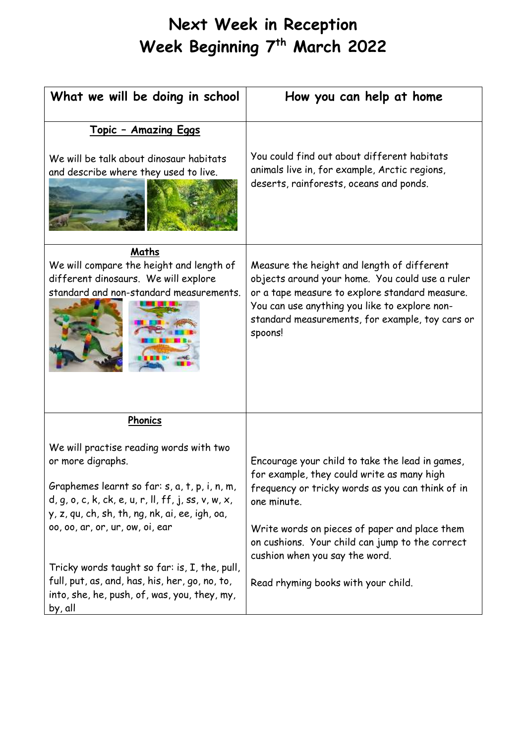## **Next Week in Reception Week Beginning 7th March 2022**

| <u> Topic - Amazing Eggs</u><br>We will be talk about dinosaur habitats<br>and describe where they used to live.                                                                                                                                                                                                                                                                                                          | You could find out about different habitats<br>animals live in, for example, Arctic regions,<br>deserts, rainforests, oceans and ponds.                                                                                                                                                                                                       |
|---------------------------------------------------------------------------------------------------------------------------------------------------------------------------------------------------------------------------------------------------------------------------------------------------------------------------------------------------------------------------------------------------------------------------|-----------------------------------------------------------------------------------------------------------------------------------------------------------------------------------------------------------------------------------------------------------------------------------------------------------------------------------------------|
| Maths<br>We will compare the height and length of<br>different dinosaurs. We will explore<br>standard and non-standard measurements.                                                                                                                                                                                                                                                                                      | Measure the height and length of different<br>objects around your home. You could use a ruler<br>or a tape measure to explore standard measure.<br>You can use anything you like to explore non-<br>standard measurements, for example, toy cars or<br>spoons!                                                                                |
| Phonics<br>We will practise reading words with two<br>or more digraphs.<br>Graphemes learnt so far: s, a, t, p, i, n, m,<br>$d, g, o, c, k, ck, e, u, r, ll, ff, j, ss, v, w, x,$<br>y, z, qu, ch, sh, th, ng, nk, ai, ee, igh, oa,<br>00, 00, ar, or, ur, ow, oi, ear<br>Tricky words taught so far: is, I, the, pull,<br>full, put, as, and, has, his, her, go, no, to,<br>into, she, he, push, of, was, you, they, my, | Encourage your child to take the lead in games,<br>for example, they could write as many high<br>frequency or tricky words as you can think of in<br>one minute.<br>Write words on pieces of paper and place them<br>on cushions. Your child can jump to the correct<br>cushion when you say the word.<br>Read rhyming books with your child. |